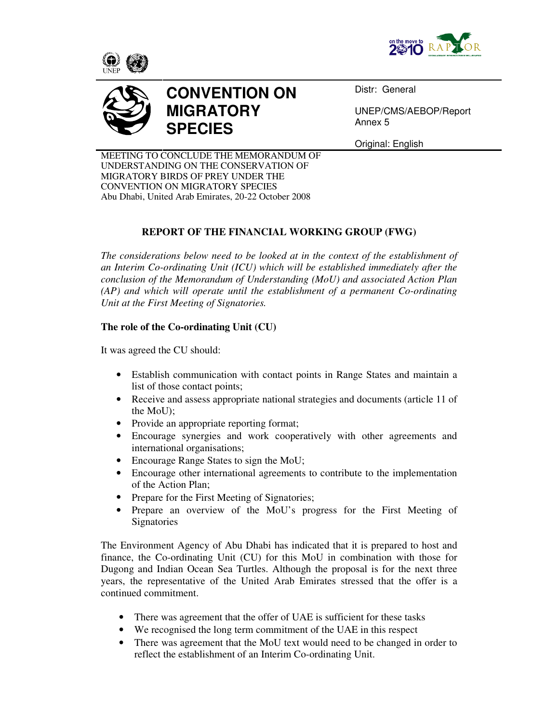







Distr: General

UNEP/CMS/AEBOP/Report Annex 5

Original: English

MEETING TO CONCLUDE THE MEMORANDUM OF UNDERSTANDING ON THE CONSERVATION OF MIGRATORY BIRDS OF PREY UNDER THE CONVENTION ON MIGRATORY SPECIES Abu Dhabi, United Arab Emirates, 20-22 October 2008

## **REPORT OF THE FINANCIAL WORKING GROUP (FWG)**

*The considerations below need to be looked at in the context of the establishment of an Interim Co-ordinating Unit (ICU) which will be established immediately after the conclusion of the Memorandum of Understanding (MoU) and associated Action Plan (AP) and which will operate until the establishment of a permanent Co-ordinating Unit at the First Meeting of Signatories.*

## **The role of the Co-ordinating Unit (CU)**

It was agreed the CU should:

- Establish communication with contact points in Range States and maintain a list of those contact points;
- Receive and assess appropriate national strategies and documents (article 11 of the MoU);
- Provide an appropriate reporting format;
- Encourage synergies and work cooperatively with other agreements and international organisations;
- Encourage Range States to sign the MoU;
- Encourage other international agreements to contribute to the implementation of the Action Plan;
- Prepare for the First Meeting of Signatories;
- Prepare an overview of the MoU's progress for the First Meeting of **Signatories**

The Environment Agency of Abu Dhabi has indicated that it is prepared to host and finance, the Co-ordinating Unit (CU) for this MoU in combination with those for Dugong and Indian Ocean Sea Turtles. Although the proposal is for the next three years, the representative of the United Arab Emirates stressed that the offer is a continued commitment.

- There was agreement that the offer of UAE is sufficient for these tasks
- We recognised the long term commitment of the UAE in this respect
- There was agreement that the MoU text would need to be changed in order to reflect the establishment of an Interim Co-ordinating Unit.